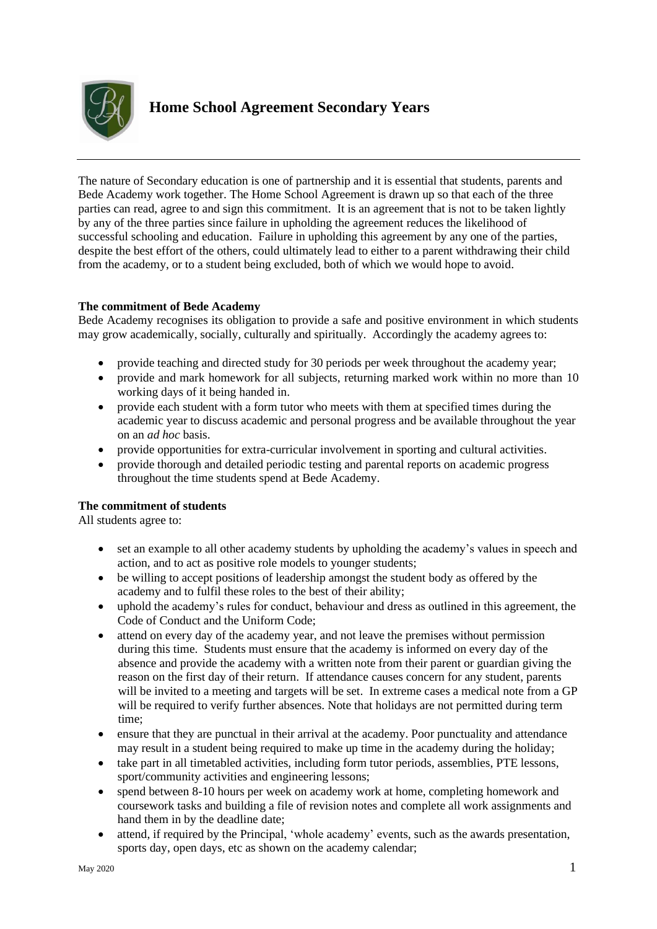

The nature of Secondary education is one of partnership and it is essential that students, parents and Bede Academy work together. The Home School Agreement is drawn up so that each of the three parties can read, agree to and sign this commitment. It is an agreement that is not to be taken lightly by any of the three parties since failure in upholding the agreement reduces the likelihood of successful schooling and education. Failure in upholding this agreement by any one of the parties, despite the best effort of the others, could ultimately lead to either to a parent withdrawing their child from the academy, or to a student being excluded, both of which we would hope to avoid.

## **The commitment of Bede Academy**

Bede Academy recognises its obligation to provide a safe and positive environment in which students may grow academically, socially, culturally and spiritually. Accordingly the academy agrees to:

- provide teaching and directed study for 30 periods per week throughout the academy year;
- provide and mark homework for all subjects, returning marked work within no more than 10 working days of it being handed in.
- provide each student with a form tutor who meets with them at specified times during the academic year to discuss academic and personal progress and be available throughout the year on an *ad hoc* basis.
- provide opportunities for extra-curricular involvement in sporting and cultural activities.
- provide thorough and detailed periodic testing and parental reports on academic progress throughout the time students spend at Bede Academy.

## **The commitment of students**

All students agree to:

- set an example to all other academy students by upholding the academy's values in speech and action, and to act as positive role models to younger students;
- be willing to accept positions of leadership amongst the student body as offered by the academy and to fulfil these roles to the best of their ability;
- uphold the academy's rules for conduct, behaviour and dress as outlined in this agreement, the Code of Conduct and the Uniform Code;
- attend on every day of the academy year, and not leave the premises without permission during this time. Students must ensure that the academy is informed on every day of the absence and provide the academy with a written note from their parent or guardian giving the reason on the first day of their return. If attendance causes concern for any student, parents will be invited to a meeting and targets will be set. In extreme cases a medical note from a GP will be required to verify further absences. Note that holidays are not permitted during term time;
- ensure that they are punctual in their arrival at the academy. Poor punctuality and attendance may result in a student being required to make up time in the academy during the holiday;
- take part in all timetabled activities, including form tutor periods, assemblies, PTE lessons, sport/community activities and engineering lessons;
- spend between 8-10 hours per week on academy work at home, completing homework and coursework tasks and building a file of revision notes and complete all work assignments and hand them in by the deadline date;
- attend, if required by the Principal, 'whole academy' events, such as the awards presentation, sports day, open days, etc as shown on the academy calendar;